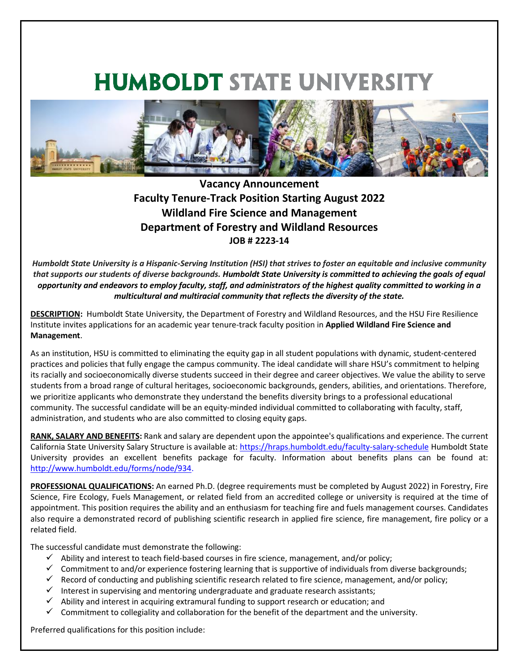## **HUMBOLDT STATE UNIVERSITY**



## **Vacancy Announcement Faculty Tenure-Track Position Starting August 2022 Wildland Fire Science and Management Department of Forestry and Wildland Resources JOB # 2223-14**

*Humboldt State University is a Hispanic-Serving Institution (HSI) that strives to foster an equitable and inclusive community that supports our students of diverse backgrounds. Humboldt State University is committed to achieving the goals of equal opportunity and endeavors to employ faculty, staff, and administrators of the highest quality committed to working in a multicultural and multiracial community that reflects the diversity of the state.* 

**DESCRIPTION:** Humboldt State University, the Department of Forestry and Wildland Resources, and the HSU Fire Resilience Institute invites applications for an academic year tenure-track faculty position in **Applied Wildland Fire Science and Management**.

As an institution, HSU is committed to eliminating the equity gap in all student populations with dynamic, student-centered practices and policies that fully engage the campus community. The ideal candidate will share HSU's commitment to helping its racially and socioeconomically diverse students succeed in their degree and career objectives. We value the ability to serve students from a broad range of cultural heritages, socioeconomic backgrounds, genders, abilities, and orientations. Therefore, we prioritize applicants who demonstrate they understand the benefits diversity brings to a professional educational community. The successful candidate will be an equity-minded individual committed to collaborating with faculty, staff, administration, and students who are also committed to closing equity gaps.

**RANK, SALARY AND BENEFITS:** Rank and salary are dependent upon the appointee's qualifications and experience. The current California State University Salary Structure is available at:<https://hraps.humboldt.edu/faculty-salary-schedule> Humboldt State University provides an excellent benefits package for faculty. Information about benefits plans can be found at: [http://www.humboldt.edu/forms/node/934.](http://www.humboldt.edu/forms/node/934)

**PROFESSIONAL QUALIFICATIONS:** An earned Ph.D. (degree requirements must be completed by August 2022) in Forestry, Fire Science, Fire Ecology, Fuels Management, or related field from an accredited college or university is required at the time of appointment. This position requires the ability and an enthusiasm for teaching fire and fuels management courses. Candidates also require a demonstrated record of publishing scientific research in applied fire science, fire management, fire policy or a related field.

The successful candidate must demonstrate the following:

- $\checkmark$  Ability and interest to teach field-based courses in fire science, management, and/or policy;
- $\checkmark$  Commitment to and/or experience fostering learning that is supportive of individuals from diverse backgrounds;
- $\checkmark$  Record of conducting and publishing scientific research related to fire science, management, and/or policy;
- $\checkmark$  Interest in supervising and mentoring undergraduate and graduate research assistants;
- $\checkmark$  Ability and interest in acquiring extramural funding to support research or education; and
- $\checkmark$  Commitment to collegiality and collaboration for the benefit of the department and the university.

Preferred qualifications for this position include: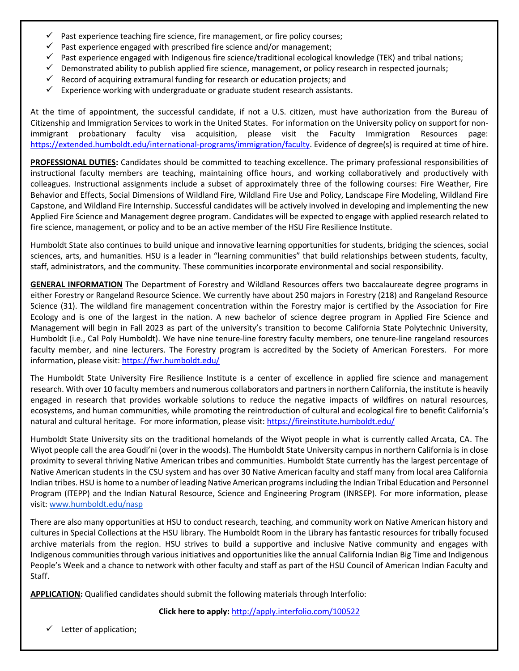- Past experience teaching fire science, fire management, or fire policy courses;
- $\checkmark$  Past experience engaged with prescribed fire science and/or management;
- Past experience engaged with Indigenous fire science/traditional ecological knowledge (TEK) and tribal nations;
- $\checkmark$  Demonstrated ability to publish applied fire science, management, or policy research in respected journals;
- $\checkmark$  Record of acquiring extramural funding for research or education projects; and
- $\checkmark$  Experience working with undergraduate or graduate student research assistants.

At the time of appointment, the successful candidate, if not a U.S. citizen, must have authorization from the Bureau of Citizenship and Immigration Services to work in the United States. For information on the University policy on support for nonimmigrant probationary faculty visa acquisition, please visit the Faculty Immigration Resources page: [https://extended.humboldt.edu/international-programs/immigration/faculty.](https://extended.humboldt.edu/international-programs/immigration/faculty) Evidence of degree(s) is required at time of hire.

**PROFESSIONAL DUTIES:** Candidates should be committed to teaching excellence. The primary professional responsibilities of instructional faculty members are teaching, maintaining office hours, and working collaboratively and productively with colleagues. Instructional assignments include a subset of approximately three of the following courses: Fire Weather, Fire Behavior and Effects, Social Dimensions of Wildland Fire, Wildland Fire Use and Policy, Landscape Fire Modeling, Wildland Fire Capstone, and Wildland Fire Internship. Successful candidates will be actively involved in developing and implementing the new Applied Fire Science and Management degree program. Candidates will be expected to engage with applied research related to fire science, management, or policy and to be an active member of the HSU Fire Resilience Institute.

Humboldt State also continues to build unique and innovative learning opportunities for students, bridging the sciences, social sciences, arts, and humanities. HSU is a leader in "learning communities" that build relationships between students, faculty, staff, administrators, and the community. These communities incorporate environmental and social responsibility.

**GENERAL INFORMATION** The Department of Forestry and Wildland Resources offers two baccalaureate degree programs in either Forestry or Rangeland Resource Science. We currently have about 250 majors in Forestry (218) and Rangeland Resource Science (31). The wildland fire management concentration within the Forestry major is certified by the Association for Fire Ecology and is one of the largest in the nation. A new bachelor of science degree program in Applied Fire Science and Management will begin in Fall 2023 as part of the university's transition to become California State Polytechnic University, Humboldt (i.e., Cal Poly Humboldt). We have nine tenure-line forestry faculty members, one tenure-line rangeland resources faculty member, and nine lecturers. The Forestry program is accredited by the Society of American Foresters. For more information, please visit:<https://fwr.humboldt.edu/>

The Humboldt State University Fire Resilience Institute is a center of excellence in applied fire science and management research. With over 10 faculty members and numerous collaborators and partners in northern California, the institute is heavily engaged in research that provides workable solutions to reduce the negative impacts of wildfires on natural resources, ecosystems, and human communities, while promoting the reintroduction of cultural and ecological fire to benefit California's natural and cultural heritage. For more information, please visit:<https://fireinstitute.humboldt.edu/>

Humboldt State University sits on the traditional homelands of the Wiyot people in what is currently called Arcata, CA. The Wiyot people call the area Goudi'ni (over in the woods). The Humboldt State University campus in northern California is in close proximity to several thriving Native American tribes and communities. Humboldt State currently has the largest percentage of Native American students in the CSU system and has over 30 Native American faculty and staff many from local area California Indian tribes. HSU is home to a number of leading Native American programs including the Indian Tribal Education and Personnel Program (ITEPP) and the Indian Natural Resource, Science and Engineering Program (INRSEP). For more information, please visit: [www.humboldt.edu/nasp](http://www.humboldt.edu/nasp)

There are also many opportunities at HSU to conduct research, teaching, and community work on Native American history and cultures in Special Collections at the HSU library. The Humboldt Room in the Library has fantastic resources for tribally focused archive materials from the region. HSU strives to build a supportive and inclusive Native community and engages with Indigenous communities through various initiatives and opportunities like the annual California Indian Big Time and Indigenous People's Week and a chance to network with other faculty and staff as part of the HSU Council of American Indian Faculty and Staff.

**APPLICATION:** Qualified candidates should submit the following materials through Interfolio:

**Click here to apply:** http://apply.interfolio.com/100522

 $\checkmark$  Letter of application;